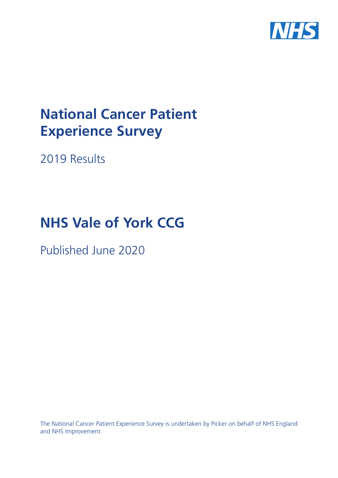

# **National Cancer Patient Experience Survey**

2019 Results

# **NHS Vale of York CCG**

Published June 2020

The National Cancer Patient Experience Survey is undertaken by Picker on behalf of NHS England and NHS Improvement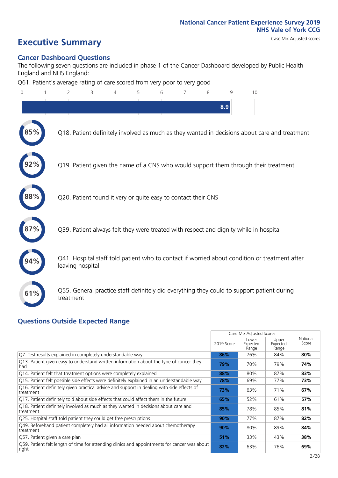# **Executive Summary** Case Mix Adjusted scores

### **Cancer Dashboard Questions**

The following seven questions are included in phase 1 of the Cancer Dashboard developed by Public Health England and NHS England:

Q61. Patient's average rating of care scored from very poor to very good

| $\overline{0}$ | $\overline{2}$                                                | 3 | $\overline{4}$ | 5 | 6 | 7 | 8 | q   | 10                                                                                            |  |
|----------------|---------------------------------------------------------------|---|----------------|---|---|---|---|-----|-----------------------------------------------------------------------------------------------|--|
|                |                                                               |   |                |   |   |   |   | 8.9 |                                                                                               |  |
|                |                                                               |   |                |   |   |   |   |     | Q18. Patient definitely involved as much as they wanted in decisions about care and treatment |  |
|                |                                                               |   |                |   |   |   |   |     | Q19. Patient given the name of a CNS who would support them through their treatment           |  |
| 88%            | Q20. Patient found it very or quite easy to contact their CNS |   |                |   |   |   |   |     |                                                                                               |  |
|                |                                                               |   |                |   |   |   |   |     | Q39. Patient always felt they were treated with respect and dignity while in hospital         |  |
|                | leaving hospital                                              |   |                |   |   |   |   |     | Q41. Hospital staff told patient who to contact if worried about condition or treatment after |  |
| 61%            | treatment                                                     |   |                |   |   |   |   |     | Q55. General practice staff definitely did everything they could to support patient during    |  |
|                |                                                               |   |                |   |   |   |   |     |                                                                                               |  |

#### **Questions Outside Expected Range**

|                                                                                                         |            | Case Mix Adjusted Scores   |                            |                   |
|---------------------------------------------------------------------------------------------------------|------------|----------------------------|----------------------------|-------------------|
|                                                                                                         | 2019 Score | Lower<br>Expected<br>Range | Upper<br>Expected<br>Range | National<br>Score |
| Q7. Test results explained in completely understandable way                                             | 86%        | 76%                        | 84%                        | 80%               |
| Q13. Patient given easy to understand written information about the type of cancer they<br>had          | 79%        | 70%                        | 79%                        | 74%               |
| Q14. Patient felt that treatment options were completely explained                                      | 88%        | 80%                        | 87%                        | 83%               |
| Q15. Patient felt possible side effects were definitely explained in an understandable way              | 78%        | 69%                        | 77%                        | 73%               |
| Q16. Patient definitely given practical advice and support in dealing with side effects of<br>treatment | 73%        | 63%                        | 71%                        | 67%               |
| Q17. Patient definitely told about side effects that could affect them in the future                    | 65%        | 52%                        | 61%                        | 57%               |
| Q18. Patient definitely involved as much as they wanted in decisions about care and<br>treatment        | 85%        | 78%                        | 85%                        | 81%               |
| Q25. Hospital staff told patient they could get free prescriptions                                      | 90%        | 77%                        | 87%                        | 82%               |
| Q49. Beforehand patient completely had all information needed about chemotherapy<br>treatment           | 90%        | 80%                        | 89%                        | 84%               |
| Q57. Patient given a care plan                                                                          | 51%        | 33%                        | 43%                        | 38%               |
| Q59. Patient felt length of time for attending clinics and appointments for cancer was about<br>right   | 82%        | 63%                        | 76%                        | 69%               |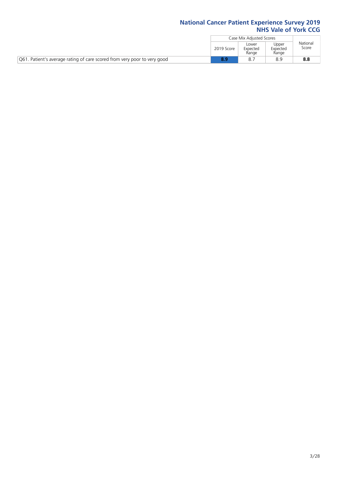|                                                                          |            | Case Mix Adjusted Scores   |                            |                   |
|--------------------------------------------------------------------------|------------|----------------------------|----------------------------|-------------------|
|                                                                          | 2019 Score | Lower<br>Expected<br>Range | Upper<br>Expected<br>Range | National<br>Score |
| Q61. Patient's average rating of care scored from very poor to very good |            |                            | 8.S                        | 8.8               |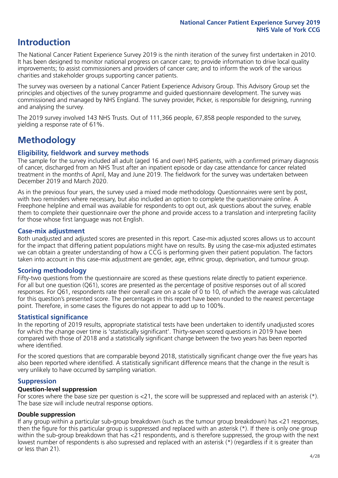## **Introduction**

The National Cancer Patient Experience Survey 2019 is the ninth iteration of the survey first undertaken in 2010. It has been designed to monitor national progress on cancer care; to provide information to drive local quality improvements; to assist commissioners and providers of cancer care; and to inform the work of the various charities and stakeholder groups supporting cancer patients.

The survey was overseen by a national Cancer Patient Experience Advisory Group. This Advisory Group set the principles and objectives of the survey programme and guided questionnaire development. The survey was commissioned and managed by NHS England. The survey provider, Picker, is responsible for designing, running and analysing the survey.

The 2019 survey involved 143 NHS Trusts. Out of 111,366 people, 67,858 people responded to the survey, yielding a response rate of 61%.

# **Methodology**

#### **Eligibility, fieldwork and survey methods**

The sample for the survey included all adult (aged 16 and over) NHS patients, with a confirmed primary diagnosis of cancer, discharged from an NHS Trust after an inpatient episode or day case attendance for cancer related treatment in the months of April, May and June 2019. The fieldwork for the survey was undertaken between December 2019 and March 2020.

As in the previous four years, the survey used a mixed mode methodology. Questionnaires were sent by post, with two reminders where necessary, but also included an option to complete the questionnaire online. A Freephone helpline and email was available for respondents to opt out, ask questions about the survey, enable them to complete their questionnaire over the phone and provide access to a translation and interpreting facility for those whose first language was not English.

#### **Case-mix adjustment**

Both unadjusted and adjusted scores are presented in this report. Case-mix adjusted scores allows us to account for the impact that differing patient populations might have on results. By using the case-mix adjusted estimates we can obtain a greater understanding of how a CCG is performing given their patient population. The factors taken into account in this case-mix adjustment are gender, age, ethnic group, deprivation, and tumour group.

#### **Scoring methodology**

Fifty-two questions from the questionnaire are scored as these questions relate directly to patient experience. For all but one question (Q61), scores are presented as the percentage of positive responses out of all scored responses. For Q61, respondents rate their overall care on a scale of 0 to 10, of which the average was calculated for this question's presented score. The percentages in this report have been rounded to the nearest percentage point. Therefore, in some cases the figures do not appear to add up to 100%.

#### **Statistical significance**

In the reporting of 2019 results, appropriate statistical tests have been undertaken to identify unadjusted scores for which the change over time is 'statistically significant'. Thirty-seven scored questions in 2019 have been compared with those of 2018 and a statistically significant change between the two years has been reported where identified.

For the scored questions that are comparable beyond 2018, statistically significant change over the five years has also been reported where identified. A statistically significant difference means that the change in the result is very unlikely to have occurred by sampling variation.

#### **Suppression**

#### **Question-level suppression**

For scores where the base size per question is  $<$ 21, the score will be suppressed and replaced with an asterisk (\*). The base size will include neutral response options.

#### **Double suppression**

If any group within a particular sub-group breakdown (such as the tumour group breakdown) has <21 responses, then the figure for this particular group is suppressed and replaced with an asterisk (\*). If there is only one group within the sub-group breakdown that has <21 respondents, and is therefore suppressed, the group with the next lowest number of respondents is also supressed and replaced with an asterisk (\*) (regardless if it is greater than or less than 21).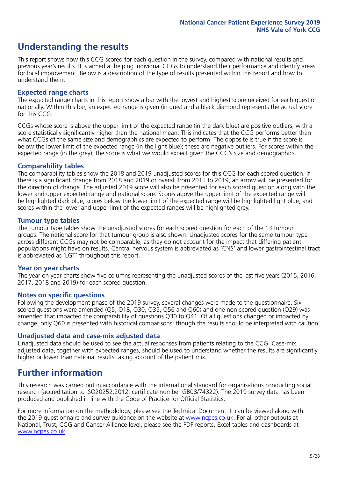# **Understanding the results**

This report shows how this CCG scored for each question in the survey, compared with national results and previous year's results. It is aimed at helping individual CCGs to understand their performance and identify areas for local improvement. Below is a description of the type of results presented within this report and how to understand them.

#### **Expected range charts**

The expected range charts in this report show a bar with the lowest and highest score received for each question nationally. Within this bar, an expected range is given (in grey) and a black diamond represents the actual score for this CCG.

CCGs whose score is above the upper limit of the expected range (in the dark blue) are positive outliers, with a score statistically significantly higher than the national mean. This indicates that the CCG performs better than what CCGs of the same size and demographics are expected to perform. The opposite is true if the score is below the lower limit of the expected range (in the light blue); these are negative outliers. For scores within the expected range (in the grey), the score is what we would expect given the CCG's size and demographics.

#### **Comparability tables**

The comparability tables show the 2018 and 2019 unadjusted scores for this CCG for each scored question. If there is a significant change from 2018 and 2019 or overall from 2015 to 2019, an arrow will be presented for the direction of change. The adjusted 2019 score will also be presented for each scored question along with the lower and upper expected range and national score. Scores above the upper limit of the expected range will be highlighted dark blue, scores below the lower limit of the expected range will be highlighted light blue, and scores within the lower and upper limit of the expected ranges will be highlighted grey.

#### **Tumour type tables**

The tumour type tables show the unadjusted scores for each scored question for each of the 13 tumour groups. The national score for that tumour group is also shown. Unadjusted scores for the same tumour type across different CCGs may not be comparable, as they do not account for the impact that differing patient populations might have on results. Central nervous system is abbreviated as 'CNS' and lower gastrointestinal tract is abbreviated as 'LGT' throughout this report.

#### **Year on year charts**

The year on year charts show five columns representing the unadjusted scores of the last five years (2015, 2016, 2017, 2018 and 2019) for each scored question.

#### **Notes on specific questions**

Following the development phase of the 2019 survey, several changes were made to the questionnaire. Six scored questions were amended (Q5, Q18, Q30, Q35, Q56 and Q60) and one non-scored question (Q29) was amended that impacted the comparability of questions Q30 to Q41. Of all questions changed or impacted by change, only Q60 is presented with historical comparisons; though the results should be interpreted with caution.

#### **Unadjusted data and case-mix adjusted data**

Unadjusted data should be used to see the actual responses from patients relating to the CCG. Case-mix adjusted data, together with expected ranges, should be used to understand whether the results are significantly higher or lower than national results taking account of the patient mix.

### **Further information**

This research was carried out in accordance with the international standard for organisations conducting social research (accreditation to ISO20252:2012; certificate number GB08/74322). The 2019 survey data has been produced and published in line with the Code of Practice for Official Statistics.

For more information on the methodology, please see the Technical Document. It can be viewed along with the 2019 questionnaire and survey quidance on the website at [www.ncpes.co.uk](https://www.ncpes.co.uk/supporting-documents). For all other outputs at National, Trust, CCG and Cancer Alliance level, please see the PDF reports, Excel tables and dashboards at [www.ncpes.co.uk.](https://www.ncpes.co.uk/current-results)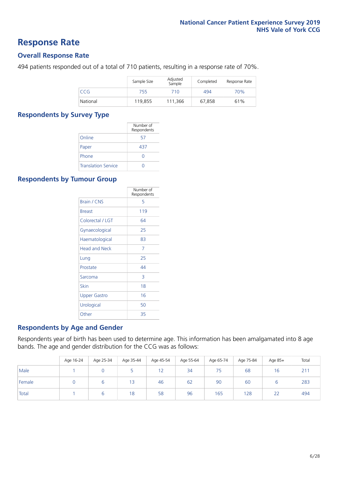### **Response Rate**

#### **Overall Response Rate**

494 patients responded out of a total of 710 patients, resulting in a response rate of 70%.

|            | Sample Size | Adjusted<br>Sample | Completed | Response Rate |
|------------|-------------|--------------------|-----------|---------------|
| <b>CCG</b> | 755         | 710                | 494       | 70%           |
| National   | 119.855     | 111.366            | 67.858    | 61%           |

#### **Respondents by Survey Type**

|                            | Number of<br>Respondents |
|----------------------------|--------------------------|
| Online                     | 57                       |
| Paper                      | 437                      |
| Phone                      |                          |
| <b>Translation Service</b> |                          |

#### **Respondents by Tumour Group**

|                      | Number of<br>Respondents |
|----------------------|--------------------------|
| <b>Brain / CNS</b>   | 5                        |
| <b>Breast</b>        | 119                      |
| Colorectal / LGT     | 64                       |
| Gynaecological       | 25                       |
| Haematological       | 83                       |
| <b>Head and Neck</b> | 7                        |
| Lung                 | 25                       |
| Prostate             | 44                       |
| Sarcoma              | 3                        |
| Skin                 | 18                       |
| Upper Gastro         | 16                       |
| Urological           | 50                       |
| Other                | 35                       |

#### **Respondents by Age and Gender**

Respondents year of birth has been used to determine age. This information has been amalgamated into 8 age bands. The age and gender distribution for the CCG was as follows:

|        | Age 16-24 | Age 25-34 | Age 35-44 | Age 45-54 | Age 55-64 | Age 65-74 | Age 75-84 | Age 85+ | Total |
|--------|-----------|-----------|-----------|-----------|-----------|-----------|-----------|---------|-------|
| Male   |           |           |           | 12        | 34        | 75        | 68        | 16      | 211   |
| Female |           |           | 13        | 46        | 62        | 90        | 60        |         | 283   |
| Total  |           |           | 18        | 58        | 96        | 165       | 128       | 22      | 494   |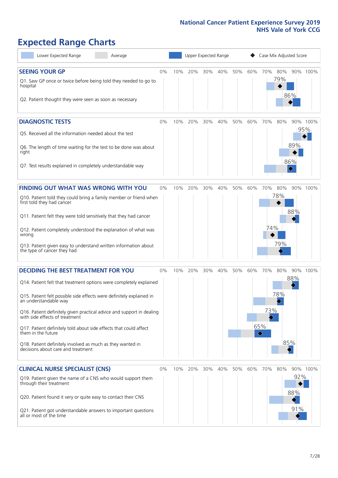# **Expected Range Charts**

| Lower Expected Range<br>Average                                                                                                                                                                                                                                                                                                                                                                                                                                                                                             |       |     | Upper Expected Range |     |     |     |     | Case Mix Adjusted Score |                   |                   |                 |
|-----------------------------------------------------------------------------------------------------------------------------------------------------------------------------------------------------------------------------------------------------------------------------------------------------------------------------------------------------------------------------------------------------------------------------------------------------------------------------------------------------------------------------|-------|-----|----------------------|-----|-----|-----|-----|-------------------------|-------------------|-------------------|-----------------|
| <b>SEEING YOUR GP</b><br>Q1. Saw GP once or twice before being told they needed to go to<br>hospital<br>Q2. Patient thought they were seen as soon as necessary                                                                                                                                                                                                                                                                                                                                                             | $0\%$ | 10% | 20%                  | 30% | 40% | 50% | 60% | 70%                     | 80%<br>79%        | 86%               | 90% 100%        |
| <b>DIAGNOSTIC TESTS</b><br>Q5. Received all the information needed about the test<br>Q6. The length of time waiting for the test to be done was about<br>right<br>Q7. Test results explained in completely understandable way                                                                                                                                                                                                                                                                                               | $0\%$ | 10% | 20%                  | 30% | 40% | 50% | 60% | 70%                     | 80%               | 89%<br>86%<br>◇   | 90% 100%<br>95% |
| <b>FINDING OUT WHAT WAS WRONG WITH YOU</b><br>Q10. Patient told they could bring a family member or friend when<br>first told they had cancer<br>Q11. Patient felt they were told sensitively that they had cancer<br>Q12. Patient completely understood the explanation of what was<br>wrong<br>Q13. Patient given easy to understand written information about<br>the type of cancer they had                                                                                                                             | $0\%$ | 10% | 20%                  | 30% | 40% | 50% | 60% | 70%<br>74%              | 80%<br>78%<br>79% | 88%               | 90% 100%        |
| <b>DECIDING THE BEST TREATMENT FOR YOU</b><br>Q14. Patient felt that treatment options were completely explained<br>Q15. Patient felt possible side effects were definitely explained in<br>an understandable way<br>Q16. Patient definitely given practical advice and support in dealing<br>with side effects of treatment<br>Q17. Patient definitely told about side effects that could affect<br>them in the future<br>Q18. Patient definitely involved as much as they wanted in<br>decisions about care and treatment | $0\%$ | 10% | 20%                  | 30% | 40% | 50% | 60% | 70%<br>73%<br>65%<br>♦  | 80%<br>78%<br>85% | 90%<br>88%        | 100%            |
| <b>CLINICAL NURSE SPECIALIST (CNS)</b><br>Q19. Patient given the name of a CNS who would support them<br>through their treatment<br>Q20. Patient found it very or quite easy to contact their CNS<br>Q21. Patient got understandable answers to important questions<br>all or most of the time                                                                                                                                                                                                                              | $0\%$ |     | 10% 20%              | 30% | 40% | 50% | 60% | 70%                     | 80%               | 92%<br>88%<br>91% | 90% 100%        |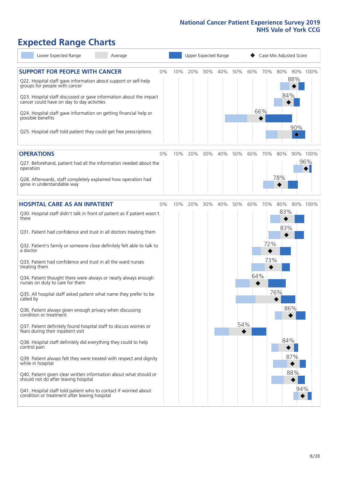# **Expected Range Charts**

| Lower Expected Range<br>Average                                                                                                                    |     |     | Upper Expected Range |     |     |     |     | Case Mix Adjusted Score |          |
|----------------------------------------------------------------------------------------------------------------------------------------------------|-----|-----|----------------------|-----|-----|-----|-----|-------------------------|----------|
| <b>SUPPORT FOR PEOPLE WITH CANCER</b><br>$0\%$<br>Q22. Hospital staff gave information about support or self-help<br>groups for people with cancer | 10% | 20% | 30%                  | 40% | 50% | 60% | 70% | 80%<br>88%              | 90% 100% |
| Q23. Hospital staff discussed or gave information about the impact<br>cancer could have on day to day activities                                   |     |     |                      |     |     |     |     | 84%                     |          |
| Q24. Hospital staff gave information on getting financial help or<br>possible benefits                                                             |     |     |                      |     |     |     | 66% | 90%                     |          |
| Q25. Hospital staff told patient they could get free prescriptions                                                                                 |     |     |                      |     |     |     |     | ♦                       |          |
| <b>OPERATIONS</b><br>$0\%$                                                                                                                         | 10% | 20% | 30%                  | 40% | 50% | 60% | 70% | 80%                     | 90% 100% |
| Q27. Beforehand, patient had all the information needed about the<br>operation                                                                     |     |     |                      |     |     |     |     |                         | 96%      |
| Q28. Afterwards, staff completely explained how operation had<br>gone in understandable way                                                        |     |     |                      |     |     |     |     | 78%                     |          |
| <b>HOSPITAL CARE AS AN INPATIENT</b><br>$0\%$                                                                                                      | 10% | 20% | 30%                  | 40% | 50% | 60% | 70% | 80%                     | 90% 100% |
| Q30. Hospital staff didn't talk in front of patient as if patient wasn't<br>there                                                                  |     |     |                      |     |     |     |     | 83%<br>83%              |          |
| Q31. Patient had confidence and trust in all doctors treating them                                                                                 |     |     |                      |     |     |     |     |                         |          |
| Q32. Patient's family or someone close definitely felt able to talk to<br>a doctor                                                                 |     |     |                      |     |     |     | 72% |                         |          |
| Q33. Patient had confidence and trust in all the ward nurses<br>treating them                                                                      |     |     |                      |     |     |     | 73% |                         |          |
| Q34. Patient thought there were always or nearly always enough<br>nurses on duty to care for them                                                  |     |     |                      |     |     | 64% |     |                         |          |
| Q35. All hospital staff asked patient what name they prefer to be<br>called by                                                                     |     |     |                      |     |     |     |     | 76%                     |          |
| Q36. Patient always given enough privacy when discussing<br>condition or treatment                                                                 |     |     |                      |     |     |     |     | 86%                     |          |
| Q37. Patient definitely found hospital staff to discuss worries or<br>fears during their inpatient visit                                           |     |     |                      |     | 54% |     |     |                         |          |
| Q38. Hospital staff definitely did everything they could to help<br>control pain                                                                   |     |     |                      |     |     |     |     | 84%                     |          |
| Q39. Patient always felt they were treated with respect and dignity<br>while in hospital                                                           |     |     |                      |     |     |     |     | 87%                     |          |
| Q40. Patient given clear written information about what should or<br>should not do after leaving hospital                                          |     |     |                      |     |     |     |     | 88%                     |          |
| Q41. Hospital staff told patient who to contact if worried about<br>condition or treatment after leaving hospital                                  |     |     |                      |     |     |     |     |                         | 94%      |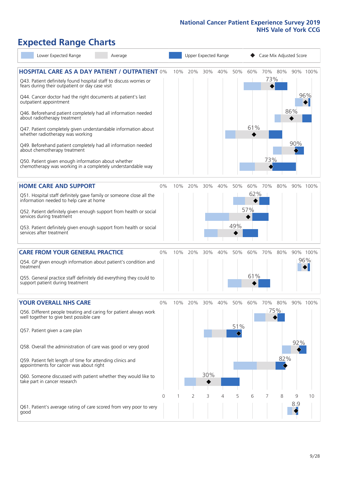# **Expected Range Charts**

| Lower Expected Range<br>Average                                                                                                                                                                                                                                                                                                                                                                                                                             |       |     | Upper Expected Range |            |     |            |                   |            | Case Mix Adjusted Score |          |                 |
|-------------------------------------------------------------------------------------------------------------------------------------------------------------------------------------------------------------------------------------------------------------------------------------------------------------------------------------------------------------------------------------------------------------------------------------------------------------|-------|-----|----------------------|------------|-----|------------|-------------------|------------|-------------------------|----------|-----------------|
| <b>HOSPITAL CARE AS A DAY PATIENT / OUTPATIENT 0%</b><br>Q43. Patient definitely found hospital staff to discuss worries or<br>fears during their outpatient or day case visit<br>Q44. Cancer doctor had the right documents at patient's last<br>outpatient appointment<br>Q46. Beforehand patient completely had all information needed<br>about radiotherapy treatment<br>Q47. Patient completely given understandable information about                 |       | 10% | 20%                  | 30%        | 40% | 50%        | 60%<br>61%        | 70%<br>73% | 80%                     | 86%      | 90% 100%<br>96% |
| whether radiotherapy was working<br>Q49. Beforehand patient completely had all information needed<br>about chemotherapy treatment<br>Q50. Patient given enough information about whether<br>chemotherapy was working in a completely understandable way                                                                                                                                                                                                     |       |     |                      |            |     |            |                   | 73%        |                         | 90%      |                 |
| <b>HOME CARE AND SUPPORT</b><br>Q51. Hospital staff definitely gave family or someone close all the<br>information needed to help care at home<br>Q52. Patient definitely given enough support from health or social<br>services during treatment<br>Q53. Patient definitely given enough support from health or social<br>services after treatment                                                                                                         | 0%    | 10% | 20%                  | 30%        | 40% | 50%<br>49% | 60%<br>62%<br>57% | 70%        | 80%                     |          | 90% 100%        |
| <b>CARE FROM YOUR GENERAL PRACTICE</b><br>Q54. GP given enough information about patient's condition and<br>treatment<br>Q55. General practice staff definitely did everything they could to<br>support patient during treatment                                                                                                                                                                                                                            | 0%    | 10% | 20%                  | 30%        | 40% | 50%        | 60%<br>61%        | 70%        | 80%                     |          | 90% 100%<br>96% |
| <b>YOUR OVERALL NHS CARE</b><br>Q56. Different people treating and caring for patient always work<br>well together to give best possible care<br>Q57. Patient given a care plan<br>Q58. Overall the administration of care was good or very good<br>Q59. Patient felt length of time for attending clinics and<br>appointments for cancer was about right<br>Q60. Someone discussed with patient whether they would like to<br>take part in cancer research | $0\%$ | 10% | 20%                  | 30%<br>30% | 40% | 50%<br>51% | 60%               | 70%        | 80%<br>75%<br>82%       | 92%      | 90% 100%        |
| Q61. Patient's average rating of care scored from very poor to very<br>good                                                                                                                                                                                                                                                                                                                                                                                 | 0     |     | 2                    | 3          | 4   | 5          | 6                 |            | 8                       | 9<br>8.9 | 10              |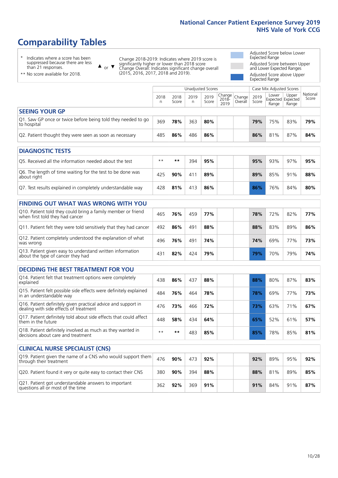# **Comparability Tables**

\* Indicates where a score has been suppressed because there are less than 21 responses.

\*\* No score available for 2018.

or  $\blacktriangledown$  $\blacktriangle$ 

Change 2018-2019: Indicates where 2019 score is significantly higher or lower than 2018 score Change Overall: Indicates significant change overall (2015, 2016, 2017, 2018 and 2019).

Adjusted Score below Lower Expected Range Adjusted Score between Upper and Lower Expected Ranges Adjusted Score above Upper Expected Range

|                                                                             |           |               | Unadjusted Scores |               |                         |                   |               | Case Mix Adjusted Scores |                                     |                   |
|-----------------------------------------------------------------------------|-----------|---------------|-------------------|---------------|-------------------------|-------------------|---------------|--------------------------|-------------------------------------|-------------------|
|                                                                             | 2018<br>n | 2018<br>Score | 2019<br>n         | 2019<br>Score | Change<br>2018-<br>2019 | Change<br>Overall | 2019<br>Score | Lower<br>Range           | Upper<br>Expected Expected<br>Range | National<br>Score |
| <b>SEEING YOUR GP</b>                                                       |           |               |                   |               |                         |                   |               |                          |                                     |                   |
| Q1. Saw GP once or twice before being told they needed to go<br>to hospital | 369       | 78%           | 363               | 80%           |                         |                   | 79%           | 75%                      | 83%                                 | 79%               |
| Q2. Patient thought they were seen as soon as necessary                     | 485       | 86%           | 486               | 86%           |                         |                   | 86%           | 81%                      | 87%                                 | 84%               |
| <b>DIAGNOSTIC TESTS</b>                                                     |           |               |                   |               |                         |                   |               |                          |                                     |                   |
| O5. Received all the information needed about the test                      | $**$      | $* *$         | 394               | 95%           |                         |                   | 95%           | 93%                      | 97%                                 | 95%               |
| Q6. The length of time waiting for the test to be done was<br>about right   | 425       | 90%           | 411               | 89%           |                         |                   | 89%           | 85%                      | 91%                                 | 88%               |
| Q7. Test results explained in completely understandable way                 | 428       | 81%           | 413               | 86%           |                         |                   | 86%           | 76%                      | 84%                                 | 80%               |

| <b>FINDING OUT WHAT WAS WRONG WITH YOU</b>                                                      |     |     |     |     |     |     |     |     |
|-------------------------------------------------------------------------------------------------|-----|-----|-----|-----|-----|-----|-----|-----|
| Q10. Patient told they could bring a family member or friend<br>when first told they had cancer | 465 | 76% | 459 | 77% | 78% | 72% | 82% | 77% |
| Q11. Patient felt they were told sensitively that they had cancer                               | 492 | 86% | 491 | 88% | 88% | 83% | 89% | 86% |
| Q12. Patient completely understood the explanation of what<br>was wrong                         | 496 | 76% | 491 | 74% | 74% | 69% | 77% | 73% |
| Q13. Patient given easy to understand written information<br>about the type of cancer they had  | 431 | 82% | 424 | 79% | 79% | 70% | 79% | 74% |

| <b>DECIDING THE BEST TREATMENT FOR YOU</b>                                                              |      |       |     |     |     |     |     |     |
|---------------------------------------------------------------------------------------------------------|------|-------|-----|-----|-----|-----|-----|-----|
| Q14. Patient felt that treatment options were completely<br>explained                                   | 438  | 86%   | 437 | 88% | 88% | 80% | 87% | 83% |
| Q15. Patient felt possible side effects were definitely explained<br>in an understandable way           | 484  | 76%   | 464 | 78% | 78% | 69% | 77% | 73% |
| Q16. Patient definitely given practical advice and support in<br>dealing with side effects of treatment | 476  | 73%   | 466 | 72% | 73% | 63% | 71% | 67% |
| Q17. Patient definitely told about side effects that could affect<br>them in the future                 | 448  | 58%   | 434 | 64% | 65% | 52% | 61% | 57% |
| Q18. Patient definitely involved as much as they wanted in<br>decisions about care and treatment        | $**$ | $* *$ | 483 | 85% | 85% | 78% | 85% | 81% |

| <b>CLINICAL NURSE SPECIALIST (CNS)</b>                                                    |     |     |     |     |     |     |     |     |
|-------------------------------------------------------------------------------------------|-----|-----|-----|-----|-----|-----|-----|-----|
| Q19. Patient given the name of a CNS who would support them<br>through their treatment    | 476 | 90% | 473 | 92% | 92% | 89% | 95% | 92% |
| Q20. Patient found it very or quite easy to contact their CNS                             | 380 | 90% | 394 | 88% | 88% | 81% | 89% | 85% |
| Q21. Patient got understandable answers to important<br>questions all or most of the time | 362 | 92% | 369 | 91% | 91% | 84% | 91% | 87% |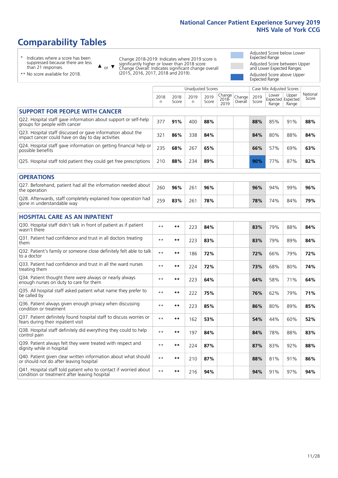# **Comparability Tables**

\* Indicates where a score has been suppressed because there are less than 21 responses.

\*\* No score available for 2018.

 $\triangle$  or  $\nabla$ 

Change 2018-2019: Indicates where 2019 score is significantly higher or lower than 2018 score Change Overall: Indicates significant change overall (2015, 2016, 2017, 2018 and 2019).

Adjusted Score below Lower Expected Range Adjusted Score between Upper and Lower Expected Ranges Adjusted Score above Upper Expected Range

|                                                                                                                   |              |               | <b>Unadjusted Scores</b> |               |                         |                   |               | Case Mix Adjusted Scores            |                |                   |
|-------------------------------------------------------------------------------------------------------------------|--------------|---------------|--------------------------|---------------|-------------------------|-------------------|---------------|-------------------------------------|----------------|-------------------|
|                                                                                                                   | 2018<br>n    | 2018<br>Score | 2019<br>n.               | 2019<br>Score | Change<br>2018-<br>2019 | Change<br>Overall | 2019<br>Score | Lower<br>Expected Expected<br>Range | Upper<br>Range | National<br>Score |
| <b>SUPPORT FOR PEOPLE WITH CANCER</b>                                                                             |              |               |                          |               |                         |                   |               |                                     |                |                   |
| Q22. Hospital staff gave information about support or self-help<br>groups for people with cancer                  | 377          | 91%           | 400                      | 88%           |                         |                   | 88%           | 85%                                 | 91%            | 88%               |
| Q23. Hospital staff discussed or gave information about the<br>impact cancer could have on day to day activities  | 321          | 86%           | 338                      | 84%           |                         |                   | 84%           | 80%                                 | 88%            | 84%               |
| Q24. Hospital staff gave information on getting financial help or<br>possible benefits                            | 235          | 68%           | 267                      | 65%           |                         |                   | 66%           | 57%                                 | 69%            | 63%               |
| Q25. Hospital staff told patient they could get free prescriptions                                                | 210          | 88%           | 234                      | 89%           |                         |                   | 90%           | 77%                                 | 87%            | 82%               |
| <b>OPERATIONS</b>                                                                                                 |              |               |                          |               |                         |                   |               |                                     |                |                   |
| Q27. Beforehand, patient had all the information needed about<br>the operation                                    | 260          | 96%           | 261                      | 96%           |                         |                   | 96%           | 94%                                 | 99%            | 96%               |
| Q28. Afterwards, staff completely explained how operation had<br>gone in understandable way                       | 259          | 83%           | 261                      | 78%           |                         |                   | 78%           | 74%                                 | 84%            | 79%               |
| <b>HOSPITAL CARE AS AN INPATIENT</b>                                                                              |              |               |                          |               |                         |                   |               |                                     |                |                   |
| Q30. Hospital staff didn't talk in front of patient as if patient<br>wasn't there                                 | $* *$        | **            | 223                      | 84%           |                         |                   | 83%           | 79%                                 | 88%            | 84%               |
| Q31. Patient had confidence and trust in all doctors treating<br>them                                             | $* *$        | $***$         | 223                      | 83%           |                         |                   | 83%           | 79%                                 | 89%            | 84%               |
| Q32. Patient's family or someone close definitely felt able to talk<br>to a doctor                                | $* *$        | $***$         | 186                      | 72%           |                         |                   | 72%           | 66%                                 | 79%            | 72%               |
| Q33. Patient had confidence and trust in all the ward nurses<br>treating them                                     | $\star\star$ | **            | 224                      | 72%           |                         |                   | 73%           | 68%                                 | 80%            | 74%               |
| Q34. Patient thought there were always or nearly always<br>enough nurses on duty to care for them                 | $* *$        | **            | 223                      | 64%           |                         |                   | 64%           | 58%                                 | 71%            | 64%               |
| Q35. All hospital staff asked patient what name they prefer to<br>be called by                                    | $* *$        | **            | 222                      | 75%           |                         |                   | 76%           | 62%                                 | 79%            | 71%               |
| Q36. Patient always given enough privacy when discussing<br>condition or treatment                                | $**$         | $***$         | 223                      | 85%           |                         |                   | 86%           | 80%                                 | 89%            | 85%               |
| Q37. Patient definitely found hospital staff to discuss worries or<br>fears during their inpatient visit          | $**$         | **            | 162                      | 53%           |                         |                   | 54%           | 44%                                 | 60%            | 52%               |
| Q38. Hospital staff definitely did everything they could to help<br>control pain                                  | $* *$        | $***$         | 197                      | 84%           |                         |                   | 84%           | 78%                                 | 88%            | 83%               |
| Q39. Patient always felt they were treated with respect and<br>dignity while in hospital                          | $***$        | **            | 224                      | 87%           |                         |                   | 87%           | 83%                                 | 92%            | 88%               |
| Q40. Patient given clear written information about what should<br>or should not do after leaving hospital         | $**$         | $***$         | 210                      | 87%           |                         |                   | 88%           | 81%                                 | 91%            | 86%               |
| Q41. Hospital staff told patient who to contact if worried about<br>condition or treatment after leaving hospital | $**$         | **            | 216                      | 94%           |                         |                   | 94%           | 91%                                 | 97%            | 94%               |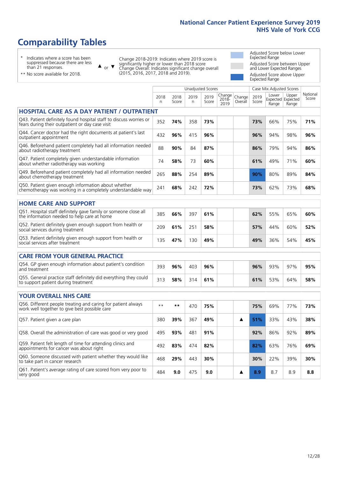# **Comparability Tables**

\* Indicates where a score has been suppressed because there are less than 21 responses.

\*\* No score available for 2018.

 $\triangle$  or  $\nabla$ 

Change 2018-2019: Indicates where 2019 score is significantly higher or lower than 2018 score Change Overall: Indicates significant change overall (2015, 2016, 2017, 2018 and 2019).

Adjusted Score below Lower Expected Range Adjusted Score between Upper and Lower Expected Ranges Adjusted Score above Upper Expected Range

|                                                                                                                       |           |               |                      | <b>Unadjusted Scores</b> |                         |                   |               | Case Mix Adjusted Scores |                                     |                   |
|-----------------------------------------------------------------------------------------------------------------------|-----------|---------------|----------------------|--------------------------|-------------------------|-------------------|---------------|--------------------------|-------------------------------------|-------------------|
|                                                                                                                       | 2018<br>n | 2018<br>Score | 2019<br>$\mathsf{n}$ | 2019<br>Score            | Change<br>2018-<br>2019 | Change<br>Overall | 2019<br>Score | Lower<br>Range           | Upper<br>Expected Expected<br>Range | National<br>Score |
| <b>HOSPITAL CARE AS A DAY PATIENT / OUTPATIENT</b>                                                                    |           |               |                      |                          |                         |                   |               |                          |                                     |                   |
| Q43. Patient definitely found hospital staff to discuss worries or<br>fears during their outpatient or day case visit | 352       | 74%           | 358                  | 73%                      |                         |                   | 73%           | 66%                      | 75%                                 | 71%               |
| Q44. Cancer doctor had the right documents at patient's last<br>outpatient appointment                                | 432       | 96%           | 415                  | 96%                      |                         |                   | 96%           | 94%                      | 98%                                 | 96%               |
| Q46. Beforehand patient completely had all information needed<br>about radiotherapy treatment                         | 88        | 90%           | 84                   | 87%                      |                         |                   | 86%           | 79%                      | 94%                                 | 86%               |
| Q47. Patient completely given understandable information<br>about whether radiotherapy was working                    | 74        | 58%           | 73                   | 60%                      |                         |                   | 61%           | 49%                      | 71%                                 | 60%               |
| Q49. Beforehand patient completely had all information needed<br>about chemotherapy treatment                         | 265       | 88%           | 254                  | 89%                      |                         |                   | 90%           | 80%                      | 89%                                 | 84%               |
| Q50. Patient given enough information about whether<br>chemotherapy was working in a completely understandable way    | 241       | 68%           | 242                  | 72%                      |                         |                   | 73%           | 62%                      | 73%                                 | 68%               |
| <b>HOME CARE AND SUPPORT</b>                                                                                          |           |               |                      |                          |                         |                   |               |                          |                                     |                   |
| Q51. Hospital staff definitely gave family or someone close all<br>the information needed to help care at home        | 385       | 66%           | 397                  | 61%                      |                         |                   | 62%           | 55%                      | 65%                                 | 60%               |
| Q52. Patient definitely given enough support from health or<br>social services during treatment                       | 209       | 61%           | 251                  | 58%                      |                         |                   | 57%           | 44%                      | 60%                                 | 52%               |
| Q53. Patient definitely given enough support from health or<br>social services after treatment                        | 135       | 47%           | 130                  | 49%                      |                         |                   | 49%           | 36%                      | 54%                                 | 45%               |
| <b>CARE FROM YOUR GENERAL PRACTICE</b>                                                                                |           |               |                      |                          |                         |                   |               |                          |                                     |                   |
| Q54. GP given enough information about patient's condition<br>and treatment                                           | 393       | 96%           | 403                  | 96%                      |                         |                   | 96%           | 93%                      | 97%                                 | 95%               |
| Q55. General practice staff definitely did everything they could<br>to support patient during treatment               | 313       | 58%           | 314                  | 61%                      |                         |                   | 61%           | 53%                      | 64%                                 | 58%               |
| <b>YOUR OVERALL NHS CARE</b>                                                                                          |           |               |                      |                          |                         |                   |               |                          |                                     |                   |
| Q56. Different people treating and caring for patient always<br>work well together to give best possible care         | $* *$     | $***$         | 470                  | 75%                      |                         |                   | 75%           | 69%                      | 77%                                 | 73%               |
| Q57. Patient given a care plan                                                                                        | 380       | 39%           | 367                  | 49%                      |                         | ▲                 | 51%           | 33%                      | 43%                                 | 38%               |
| Q58. Overall the administration of care was good or very good                                                         | 495       | 93%           | 481                  | 91%                      |                         |                   | 92%           | 86%                      | 92%                                 | 89%               |
| Q59. Patient felt length of time for attending clinics and<br>appointments for cancer was about right                 | 492       | 83%           | 474                  | 82%                      |                         |                   | 82%           | 63%                      | 76%                                 | 69%               |
| Q60. Someone discussed with patient whether they would like<br>to take part in cancer research                        | 468       | 29%           | 443                  | 30%                      |                         |                   | 30%           | 22%                      | 39%                                 | 30%               |
| Q61. Patient's average rating of care scored from very poor to<br>very good                                           | 484       | 9.0           | 475                  | 9.0                      |                         | A                 | 8.9           | 8.7                      | 8.9                                 | 8.8               |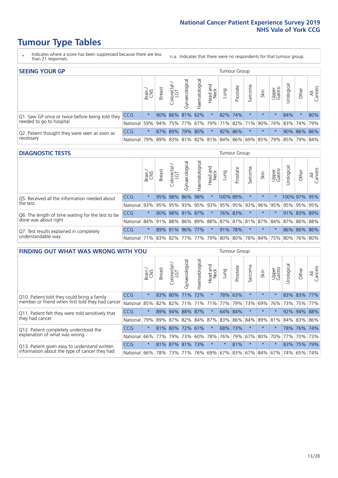- \* Indicates where a score has been suppressed because there are less than 21 responses.
- n.a. Indicates that there were no respondents for that tumour group.

| <b>SEEING YOUR GP</b>                           |            |         |               |            |                   |                |                  |      | Tumour Group |         |         |                 |                                                     |             |                |
|-------------------------------------------------|------------|---------|---------------|------------|-------------------|----------------|------------------|------|--------------|---------|---------|-----------------|-----------------------------------------------------|-------------|----------------|
|                                                 |            | Brain   | <b>Breast</b> | Colorectal | ত<br>Gynaecologic | Haematological | Head and<br>Neck | Lung | Prostate     | Sarcoma | Skin    | Upper<br>Gastro | $\sigma$<br>Jrologica                               | Other       | All<br>Cancers |
| Q1. Saw GP once or twice before being told they | <b>CCG</b> | $\star$ |               |            | 90% 86% 81% 62%   |                | $\star$          |      | 82% 74%      |         | $\star$ |                 | 84%                                                 | $\star$     | 80%            |
| needed to go to hospital                        | National   | 59%     |               |            |                   |                |                  |      |              |         |         |                 | 94% 75% 77% 67% 79% 71% 82% 71% 90% 74% 83% 74% 79% |             |                |
| Q2. Patient thought they were seen as soon as   | <b>CCG</b> | $\star$ |               |            | 87% 89% 79% 80%   |                | $\star$          |      | 92% 86%      |         | $\star$ | $\star$         |                                                     | 90% 86% 86% |                |
| necessary                                       | National   | 79%     |               |            |                   |                |                  |      |              |         |         |                 | 89% 83% 81% 82% 81% 84% 86% 69% 85% 79% 85% 79%     |             | 84%            |

#### **DIAGNOSTIC TESTS** Tumour Group

|                                                   |                                                                  | Brain   | <b>Breast</b> | Colorectal<br>LGT | त्त<br>Gynaecologic | Haematological | Head and<br>Neck | Lung                | Prostate | Sarcoma | Skin    | Upper<br>Gastro | rological                                               | Other        | All<br>Cancers |
|---------------------------------------------------|------------------------------------------------------------------|---------|---------------|-------------------|---------------------|----------------|------------------|---------------------|----------|---------|---------|-----------------|---------------------------------------------------------|--------------|----------------|
| O5. Received all the information needed about     | <b>CCG</b>                                                       | $\star$ |               | 95% 98%           | 86%                 | 98%            | $\star$          | 100% 89%            |          |         | $\star$ |                 |                                                         | 100% 97% 95% |                |
| $\vert$ the test                                  | National                                                         | 93%     |               | 95% 95%           |                     |                |                  | 93% 95% 93% 95% 95% |          | 93%     | 96%     | 95%             | 95% 95% 95%                                             |              |                |
| Q6. The length of time waiting for the test to be | <b>CCG</b>                                                       | $\star$ |               | 90% 98%           |                     | 91% 87%        | $\ast$           |                     | 76% 83%  |         | $\star$ | $\star$         |                                                         | 91% 83% 89%  |                |
| done was about right                              | <b>National</b>                                                  |         |               |                   |                     |                |                  |                     |          |         |         |                 | 84% 91% 88% 86% 89% 88% 87% 87% 81% 87% 84% 87% 86% 88% |              |                |
| Q7. Test results explained in completely          | CCG                                                              | $\star$ |               | 89% 91%           |                     | 96% 77%        | $\star$          |                     | 91% 78%  |         | $\star$ | $\star$         |                                                         | 86% 86% 86%  |                |
| understandable way                                | National 71% 83% 82% 77% 77% 79% 80% 80% 78% 84% 75% 80% 76% 80% |         |               |                   |                     |                |                  |                     |          |         |         |                 |                                                         |              |                |

| <b>FINDING OUT WHAT WAS WRONG WITH YOU</b>        |            |         |               |                             |                     |                    |                  |             | <b>Tumour Group</b> |         |         |                 |            |         |                |
|---------------------------------------------------|------------|---------|---------------|-----------------------------|---------------------|--------------------|------------------|-------------|---------------------|---------|---------|-----------------|------------|---------|----------------|
|                                                   |            | Brain   | <b>Breast</b> | olorectal.<br>LGT<br>$\cup$ | Gynaecological      | aematological<br>Ĩ | Head and<br>Neck | Lung        | Prostate            | Sarcoma | Skin    | Upper<br>Gastro | Irological | Other   | All<br>Cancers |
| Q10. Patient told they could bring a family       | CCG        | $\star$ | 83%           | 80%                         | 71%                 | 72%                | $\star$          |             | 78% 63%             | $\star$ | $\star$ | $\star$         | 83%        | 83%     | 177%           |
| member or friend when first told they had cancer  | National   | 85%     | 82%           | 82%                         | 71%                 | 71%                | 71%              | 77%         | 79%                 | 73%     | 69%     | 76%             | 73%        | 75%     | 77%            |
| Q11. Patient felt they were told sensitively that | <b>CCG</b> | $\star$ | 89%           | 94%                         | 88%                 | 87%                | $\star$          | 64% 84%     |                     | $\ast$  | $\star$ | $\star$         | 92%        | 94%     | 88%            |
| they had cancer                                   | National   | 79%     |               |                             | 89% 87% 82% 84% 87% |                    |                  | 83% 86%     |                     | 84%     |         | 89% 81%         |            | 84% 83% | 86%            |
| Q12. Patient completely understood the            | <b>CCG</b> | $\star$ |               | 81% 80%                     | 72%                 | 61%                | $\star$          | 68%         | 173%                | $\ast$  | $\star$ |                 | 78%        | 76%     | 74%            |
| explanation of what was wrong                     | National   | 66%     | 77%           | 79%                         | 73%                 | 60%                |                  | 78% 76% 79% |                     | 67%     | 80%     | 70%             | 77%        |         | 70% 73%        |
| Q13. Patient given easy to understand written     | CCG        | $\star$ |               | 81% 87%                     | 81%                 | 73%                | $\star$          | $\star$     | 81%                 | $\ast$  | $\star$ | $\star$         |            | 83% 75% | 79%            |
| information about the type of cancer they had     | National   | 66%     | 78%           | 73%                         | 71%                 | 76%                | 69%              | 67% 83%     |                     |         | 67% 84% | 67%             | 74%        | 65%     | 74%            |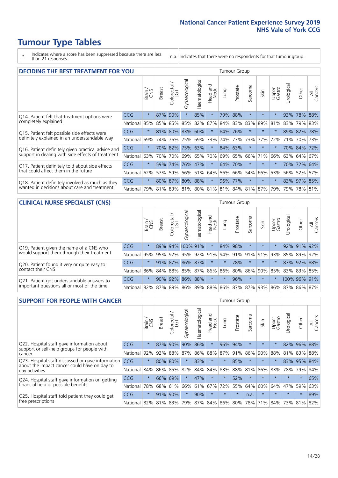- \* Indicates where a score has been suppressed because there are less than 21 responses.
- n.a. Indicates that there were no respondents for that tumour group.

| <b>DECIDING THE BEST TREATMENT FOR YOU</b>         |            |         |               |                    |                |                |                        |      | <b>Tumour Group</b> |                                     |         |                 |                 |             |                |
|----------------------------------------------------|------------|---------|---------------|--------------------|----------------|----------------|------------------------|------|---------------------|-------------------------------------|---------|-----------------|-----------------|-------------|----------------|
|                                                    |            | Brain   | <b>Breast</b> | Colorectal.<br>LGT | Gynaecological | Haematological | ad and<br>Neck<br>Head | Lung | Prostate            | Sarcoma                             | Skin    | Upper<br>Gastro | Jrological      | Other       | All<br>Cancers |
| Q14. Patient felt that treatment options were      | CCG        | $\star$ | 87%           | 90%                | $\star$        | 85%            | $\star$                | 79%  | 88%                 | $\star$                             | $\star$ | $\star$         | 93%             | 78%         | 88%            |
| completely explained                               | National   | 85%     | 85%           | 85%                | 85%            | 82%            | 87%                    |      | 84% 83%             | 83%                                 | 89%     | 81%             |                 | 83% 79% 83% |                |
| Q15. Patient felt possible side effects were       | <b>CCG</b> | $\star$ | 81%           | 80%                | 83%            | 60%            | $\star$                |      | 84% 76%             | $\star$                             | $\star$ | $\star$         |                 | 89% 82% 78% |                |
| definitely explained in an understandable way      | National   | 69%     | 74%           | 76%                | 75%            | 69%            | 73%                    |      | 74% 73%             | 73%                                 | 77%     | 72%             | 71%             | 70%         | 73%            |
| Q16. Patient definitely given practical advice and | <b>CCG</b> | $\star$ | 70%           | 82%                | 75%            | 63%            | $\star$                |      | 84% 63%             | $\star$                             | $\star$ | $\star$         |                 | 70% 84% 72% |                |
| support in dealing with side effects of treatment  | National   | 63%     | 70%           | 70%                |                | 69% 65%        | 70%                    |      | 69% 65%             | 66%                                 | 71%     | 66%             |                 | 63% 64%     | 67%            |
| Q17. Patient definitely told about side effects    | CCG        | $\star$ | 59%           | 74%                |                | 76% 47%        | $\star$                |      | 64% 70%             | $^\star$                            | $\star$ | $\star$         | 70 <sup>%</sup> | 72% 64%     |                |
| that could affect them in the future               | National   | 62%     | 57%           | 59%                |                | 56% 51%        | 64%                    |      | 56% 66%             | 54%                                 | 66%     | 53%             |                 | 56% 52%     | 57%            |
| Q18. Patient definitely involved as much as they   | <b>CCG</b> | $\star$ |               | 80% 87% 80% 88%    |                |                | $\star$                |      | 96% 77%             | $\star$                             | $\star$ | $\star$         |                 | 83% 97% 85% |                |
| wanted in decisions about care and treatment       | National   | 79%     |               |                    |                |                |                        |      |                     | 81% 83% 81% 80% 81% 81% 84% 81% 87% |         | 79%             | 79%             | 78% 81%     |                |

#### **CLINICAL NURSE SPECIALIST (CNS)** Tumour Group

|                                             |                                                          | Brain   | <b>Breast</b> | olorectal<br>LGT<br>Ü | $\sigma$<br>aecologica<br>Ğ | ক<br>Haematologic | Head and<br>Neck            | Lung                | Prostate | Sarcoma | Skin    | Upper<br>Gastro | $\sigma$<br>rologica | Other       | All<br>Cancers |
|---------------------------------------------|----------------------------------------------------------|---------|---------------|-----------------------|-----------------------------|-------------------|-----------------------------|---------------------|----------|---------|---------|-----------------|----------------------|-------------|----------------|
| Q19. Patient given the name of a CNS who    | <b>CCG</b>                                               | $\star$ |               |                       | 89% 94% 100% 91%            |                   | $\star$                     | 84% 98%             |          |         | $\star$ |                 |                      | 92% 91% 92% |                |
| would support them through their treatment  | National                                                 | 95%     | 95%           | 92%                   | 95%                         |                   | 92% 91% 94% 91% 91% 91% 93% |                     |          |         |         |                 | 85%                  | 89%         | 92%            |
| Q20. Patient found it very or quite easy to | <b>CCG</b>                                               | $\star$ |               |                       | 91% 87% 86% 87%             |                   | $\star$                     | $\star$             | 78%      |         | $\star$ | $\star$         |                      | 87% 92% 88% |                |
| contact their CNS                           | National                                                 |         |               |                       | 86% 84% 88% 85%             | 87%               | 86%                         | 86% 80% 86% 90% 85% |          |         |         |                 |                      | 83% 83%     | 85%            |
| Q21. Patient got understandable answers to  | CCG                                                      | $\star$ | 90%           | 92%                   | 86%                         | 88%               | $\star$                     | $\star$             | 96%      | $\star$ | $\star$ | $\star$         |                      | 100% 96%    | 91%            |
| important questions all or most of the time | National 82% 87% 89% 86% 89% 88% 86% 87% 87% 93% 86% 87% |         |               |                       |                             |                   |                             |                     |          |         |         |                 |                      | 86% 87%     |                |

| <b>SUPPORT FOR PEOPLE WITH CANCER</b>                                                             |            |         |               |            |                |                |                         |             | Tumour Group |                          |         |                 |            |         |                |
|---------------------------------------------------------------------------------------------------|------------|---------|---------------|------------|----------------|----------------|-------------------------|-------------|--------------|--------------------------|---------|-----------------|------------|---------|----------------|
|                                                                                                   |            | Brain   | <b>Breast</b> | Colorectal | Gynaecological | Haematological | ead and<br>Neck<br>Head | Lung        | Prostate     | arcoma<br>$\overline{2}$ | Skin    | Upper<br>Gastro | Jrological | Other   | All<br>Cancers |
| Q22. Hospital staff gave information about<br>support or self-help groups for people with         | <b>CCG</b> | $\star$ | 87%           | 90%        | 90%            | 86%            | $\star$                 | 96%         | 94%          | $\star$                  | $\star$ | $\star$         | 82%        | 96%     | 88%            |
| cancer                                                                                            | National   | 92%     | 92%           | 88%        | 87%            | 86%            | 88%                     | 87%         | 91%          | 86%                      | 90%     | 88%             | 81%        | 83%     | 88%            |
| Q23. Hospital staff discussed or gave information<br>about the impact cancer could have on day to | CCG        | $\star$ | 80%           | 80%        | $\star$        | 83%            | $\star$                 | $\star$     | 85%          | $\star$                  | $\star$ | $\star$         | 83%        | 95%     | 84%            |
| day activities                                                                                    | National   | 84%     | 86%           | 85%        | 82%            | 84%            | 84%                     | 83%         | 88%          | 81%                      | 86%     | 83%             | 78%        | 79%     | 84%            |
| Q24. Hospital staff gave information on getting                                                   | CCG        | $\star$ | 66%           | 69%        | $\star$        | 47%            | $\star$                 | $^\star$    | 52%          | $\star$                  | $\star$ | $\star$         | $\star$    | $\ast$  | 65%            |
| financial help or possible benefits                                                               | National   | 78%     | 68%           | 61%        | 66%            | 61%            | 67%                     | 72%         | 55%          | 64%                      | 60%     | 64%             | 47%        | 59%     | 63%            |
| Q25. Hospital staff told patient they could get                                                   | CCG        | $\star$ | 91%           | 90%        | $\star$        | 90%            | $\star$                 | $\star$     | $\star$      | n.a.                     | $\star$ | $\star$         | $\star$    | $\star$ | 89%            |
| free prescriptions                                                                                | National   | 82%     |               | 81% 83%    | 79%            | 87%            |                         | 84% 86% 80% |              | 78%                      | 71%     | 84%             | 73%        | 81%     | 82%            |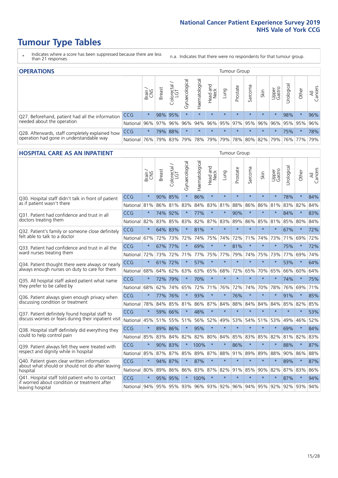- \* Indicates where a score has been suppressed because there are less than 21 responses.
- n.a. Indicates that there were no respondents for that tumour group.

| <b>OPERATIONS</b>                                |              |         |               |                   |                    |                     |                  |             | Tumour Group        |         |         |                 |            |                                         |                |
|--------------------------------------------------|--------------|---------|---------------|-------------------|--------------------|---------------------|------------------|-------------|---------------------|---------|---------|-----------------|------------|-----------------------------------------|----------------|
|                                                  |              | Brain   | <b>Breast</b> | Colorectal<br>LGT | ᠊ᢛ<br>Gynaecologic | Haematological      | Head and<br>Neck | <b>Dung</b> | Prostate            | Sarcoma | Skin    | Upper<br>Gastro | Jrological | Other                                   | All<br>Cancers |
| Q27. Beforehand, patient had all the information | CCG          | $\star$ |               | 98% 95%           | $\star$            | $\star$             | $\star$          | $\star$     | $\star$             | $\star$ | $\star$ | $\star$         | 98%        | $\ast$                                  | 96%            |
| needed about the operation                       | National     | 96%     |               | 97% 96%           | 96%                |                     |                  |             |                     |         |         |                 |            | 94% 96% 95% 97% 95% 96% 96% 95% 95% 95% | 96%            |
| Q28. Afterwards, staff completely explained how  | <b>CCG</b>   | $\star$ |               | 79% 88%           | $\star$            |                     | $\star$          | $\star$     | $\star$             | $\star$ | $\star$ |                 | 75%        | $\star$                                 | 78%            |
| operation had gone in understandable way         | National 76% |         |               |                   |                    | 79% 83% 79% 78% 79% |                  |             | 79% 78% 80% 82% 79% |         |         |                 |            | 76% 77%                                 | 79%            |

#### **HOSPITAL CARE AS AN INPATIENT** Tumour Group

|                                                                                                  |                                                                  | Brain   | Breast  | $\overline{\phantom{0}}$<br>Colorectal /<br>LGT | Gynaecological | Haematological | Head and<br>Neck | Lung        | Prostate | Sarcoma | Skin    | Upper<br>Gastro | Urological | Other   | All<br>Cancers |
|--------------------------------------------------------------------------------------------------|------------------------------------------------------------------|---------|---------|-------------------------------------------------|----------------|----------------|------------------|-------------|----------|---------|---------|-----------------|------------|---------|----------------|
| Q30. Hospital staff didn't talk in front of patient                                              | CCG                                                              | $\star$ | 90%     | 85%                                             | $\star$        | 86%            | $\star$          | $\star$     | $\star$  | $\star$ | $\star$ | $\star$         | 78%        | $\star$ | 84%            |
| as if patient wasn't there                                                                       | National                                                         | 81%     | 86%     | 81%                                             | 83%            | 84%            | 83%              | 81%         | 88%      | 86%     | 86%     | 81%             | 83%        | 82%     | 84%            |
| Q31. Patient had confidence and trust in all                                                     | CCG                                                              | $\star$ |         | 74% 92%                                         |                | 77%            | $\star$          | $\star$     | 90%      | $\star$ | $\star$ |                 | 84%        | $\star$ | 83%            |
| doctors treating them                                                                            | National                                                         | 82%     |         | 83% 85%                                         | 83%            | 82%            |                  | 87% 83%     | 89%      | 86%     | 85%     | 81%             | 85%        | 80%     | 84%            |
| Q32. Patient's family or someone close definitely                                                | CCG                                                              | $\star$ | 64% 83% |                                                 | $\star$        | 81%            | $\star$          | $\star$     | $\star$  | $\star$ | $\star$ | $\star$         | 67%        | $\star$ | 72%            |
| felt able to talk to a doctor                                                                    | National                                                         | 67%     | 72%     | 73%                                             | 72%            | 74%            | 75%              | 74%         | 72%      | 71%     | 74%     | 73%             | 71%        | 69%     | 72%            |
| O33. Patient had confidence and trust in all the                                                 | CCG                                                              | $\star$ |         | 67% 77%                                         | $\star$        | 69%            | $\star$          | $\star$     | 81%      | $\star$ | $\star$ | $\star$         | 75%        | $\star$ | 72%            |
| ward nurses treating them                                                                        | National                                                         | 72%     | 73%     | 72%                                             | 71%            |                | 77% 75% 77%      |             | 79%      | 74%     | 75%     | 73%             | 77%        | 69%     | 74%            |
| Q34. Patient thought there were always or nearly                                                 | CCG                                                              | $\star$ | 61%     | 72%                                             | $\star$        | 57%            | $\star$          | $\star$     | $\star$  | $\star$ | $\star$ | $\star$         | 53%        | $\star$ | 64%            |
| always enough nurses on duty to care for them                                                    | National                                                         | 68%     | 64%     | 62%                                             | 63%            | 63%            | 65%              | 68%         | 72%      | 65%     | 70%     | 65%             | 66%        | 60%     | 64%            |
| Q35. All hospital staff asked patient what name                                                  | CCG                                                              | $\star$ | 72% 79% |                                                 | $\star$        | 70%            | $\star$          | $\star$     | $\star$  | $\star$ | $\star$ | $\star$         | 74%        | $\star$ | 75%            |
| they prefer to be called by                                                                      | National                                                         | 68%     | 62%     | 74%                                             | 65%            | 72%            |                  | 71% 76%     | 72%      | 74%     | 70%     | 78%             | 76%        | 69%     | 71%            |
| Q36. Patient always given enough privacy when                                                    | CCG                                                              | $\star$ |         | 77% 76%                                         | $\star$        | 93%            | $\star$          | $\star$     | 76%      | $\star$ | $\star$ |                 | 91%        | $\star$ | 85%            |
| discussing condition or treatment                                                                | National                                                         | 78%     | 84%     | 85%                                             | 81%            |                | 86% 87% 84%      |             | 88%      | 84%     | 84%     | 84%             | 85%        | 82%     | 85%            |
| Q37. Patient definitely found hospital staff to                                                  | <b>CCG</b>                                                       | $\star$ | 59%     | 66%                                             | $\star$        | 48%            | $\star$          | $\star$     | $\star$  | $\star$ | $\star$ | $\star$         | $\star$    | $\star$ | 53%            |
| discuss worries or fears during their inpatient visit                                            | National                                                         | 45%     |         | 51% 55%                                         | 51%            | 56%            |                  | 52% 49%     | 53%      | 54%     | 51%     | 53%             | 49%        | 46%     | 52%            |
| Q38. Hospital staff definitely did everything they                                               | CCG                                                              | $\star$ | 89% 86% |                                                 | $\star$        | 95%            | $\star$          | $\star$     | $\star$  | $\star$ | $\star$ | $\star$         | 69%        | $\star$ | 84%            |
| could to help control pain                                                                       | National                                                         | 85%     | 83%     | 84%                                             | 82%            |                | 82% 80%          | 84%         | 85%      | 83%     | 85%     | 82%             | 81%        | 82%     | 83%            |
| Q39. Patient always felt they were treated with                                                  | CCG                                                              | $\star$ | 90% 83% |                                                 |                | 100%           | $\star$          | $\star$     | 86%      | $\star$ | $\star$ |                 | 88%        | $\star$ | 87%            |
| respect and dignity while in hospital                                                            | National                                                         | 85%     | 87%     | 87%                                             | 85%            | 89%            | 87%              | 88%         | 91%      | 89%     | 89%     | 88%             | 90%        | 86%     | 88%            |
| Q40. Patient given clear written information<br>about what should or should not do after leaving | CCG                                                              | $\star$ | 94% 87% |                                                 | $\star$        | 87%            | $\star$          | $\star$     | $\star$  | $\star$ | $\star$ | $\star$         | 89%        | $\star$ | 87%            |
| hospital                                                                                         | National I                                                       | 80%     | 89%     | 86%                                             | 86%            |                |                  | 83% 87% 82% | 91%      | 85%     | 90%     | 82%             | 87%        | 83%     | 86%            |
| Q41. Hospital staff told patient who to contact<br>if worried about condition or treatment after | CCG                                                              | $\star$ | 95%     | 95%                                             | $\star$        | 100%           | $\star$          | $\star$     | $\star$  | $\star$ | $\star$ | $\star$         | 87%        | $\star$ | 94%            |
| leaving hospital                                                                                 | National 94% 95% 95% 93% 96% 93% 92% 96% 94% 95% 92% 92% 93% 94% |         |         |                                                 |                |                |                  |             |          |         |         |                 |            |         |                |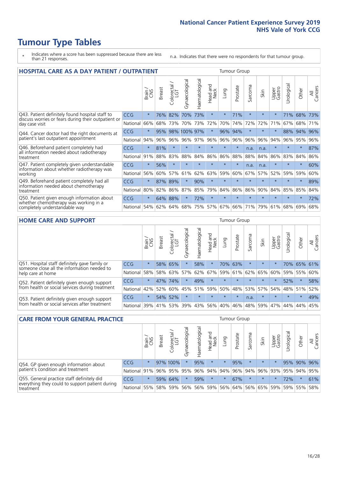- \* Indicates where a score has been suppressed because there are less than 21 responses.
- n.a. Indicates that there were no respondents for that tumour group.

| <b>HOSPITAL CARE AS A DAY PATIENT / OUTPATIENT</b>                                                                    |            | <b>Tumour Group</b> |        |                        |                |                |                         |         |          |         |         |                 |            |         |                |
|-----------------------------------------------------------------------------------------------------------------------|------------|---------------------|--------|------------------------|----------------|----------------|-------------------------|---------|----------|---------|---------|-----------------|------------|---------|----------------|
|                                                                                                                       |            | Brain               | Breast | olorectal,<br>LGT<br>Û | Gynaecological | Haematological | ead and<br>Neck<br>Head | Lung    | Prostate | Sarcoma | Skin    | Upper<br>Gastro | Urological | Other   | All<br>Cancers |
| Q43. Patient definitely found hospital staff to                                                                       | <b>CCG</b> | $\star$             | 76%    | 82%                    | 70%            | 73%            | $\star$                 | $\star$ | 71%      | $\star$ | $\star$ | $\star$         | 71%        | 68%     | 73%            |
| discuss worries or fears during their outpatient or<br>day case visit                                                 | National   | 66%                 | 68%    | 73%                    | 70%            | 73%            | 72%                     | 70%     | 74%      | 72%     | 72%     | 71%             | 67%        | 68%     | 71%            |
| Q44. Cancer doctor had the right documents at<br>patient's last outpatient appointment                                | CCG        | $\star$             | 95%    |                        | 98% 100% 97%   |                | $\star$                 | 96%     | 94%      | $\star$ |         | $\star$         | 88%        | 94%     | 96%            |
|                                                                                                                       | National   | 94%                 | 96%    | 96%                    | 96%            | 97%            | 96%                     | 96%     | 96%      | 96%     | 96%     | 94%             | 96%        | 95%     | 96%            |
| Q46. Beforehand patient completely had<br>all information needed about radiotherapy<br>treatment                      | <b>CCG</b> | $\star$             | 81%    | $\star$                | $\star$        |                | $\star$                 | $\star$ | $\star$  | n.a.    | n.a.    | $\star$         | $\star$    | $\ast$  | 87%            |
|                                                                                                                       | National   | 91%                 | 88%    | 83%                    | 88%            | 84%            | 86%                     | 86%     | 88%      | 88%     | 84%     | 86%             | 83%        | 84%     | 86%            |
| Q47. Patient completely given understandable                                                                          | CCG        | $\star$             | 56%    | $\star$                | $\star$        |                | $\star$                 | $\star$ | $\star$  | n.a.    | n.a.    | $\star$         | $\star$    | $\ast$  | 60%            |
| information about whether radiotherapy was<br>working                                                                 | National   | 56%                 | 60%    | 57%                    | 61%            | 62%            | 63%                     | 59%     | 60%      | 67%     | 57%     | 52%             | 59%        | 59%     | 60%            |
| Q49. Beforehand patient completely had all                                                                            | <b>CCG</b> | $\star$             | 87%    | 89%                    | $\star$        | 90%            | $\star$                 | $\star$ | $\star$  | $\star$ | $\star$ | $\star$         | $\star$    | $\ast$  | 89%            |
| information needed about chemotherapy<br>treatment                                                                    | National   | 80%                 | 82%    | 86%                    | 87%            | 85%            | 79%                     | 84%     | 86%      | 86%     | 90%     | 84%             | 85%        | 85%     | 84%            |
| Q50. Patient given enough information about<br>whether chemotherapy was working in a<br>completely understandable way | <b>CCG</b> | $\star$             | 64%    | 88%                    | $\star$        | 72%            | $\star$                 | $\star$ | $\star$  | $\star$ | $\star$ | $\star$         | $\star$    | $\star$ | 72%            |
|                                                                                                                       | National   | 54%                 | 62%    | 64%                    | 68%            | 75%            |                         | 57% 67% | 66%      | 71%     | 79%     | 61%             | 68%        | 69%     | 68%            |

#### **HOME CARE AND SUPPORT** Tumour Group

|                                                                                                                   |            | Brain   | <b>Breast</b> | Colorectal<br>LGT | ᢛ<br>Gynaecologic | Haematological | ad and<br>Neck<br>Head | Lung    | Prostate | Sarcoma | Skin    | Upper<br>Gastro | Urological | Other       | All<br>Cancers |
|-------------------------------------------------------------------------------------------------------------------|------------|---------|---------------|-------------------|-------------------|----------------|------------------------|---------|----------|---------|---------|-----------------|------------|-------------|----------------|
| Q51. Hospital staff definitely gave family or<br>someone close all the information needed to<br>help care at home | <b>CCG</b> | $\star$ |               | 58% 65%           | $\star$           | 58%            | $\star$                |         | 70% 63%  | $\star$ | $\star$ | $\star$         |            | 70% 65% 61% |                |
|                                                                                                                   | National   | 58%     | 58%           | 63%               | 57%               | 62%            | 67%                    | 59%     | 61%      |         | 62% 65% | 60%             | 59%        | 55%         | 60%            |
| Q52. Patient definitely given enough support<br>from health or social services during treatment                   | <b>CCG</b> | $\star$ | 47%           | 74%               | $\star$           | 49%            | $\star$                | $\star$ | $\star$  | $\star$ | $\star$ | $\star$         | 52%        | $\ast$      | 58%            |
|                                                                                                                   | National   | 42%     | 52%           | 60%               |                   | 45% 51%        | 59%                    | 50%     | 48%      |         | 53% 57% | 54%             | 48% 51%    |             | 52%            |
| Q53. Patient definitely given enough support<br>from health or social services after treatment                    | <b>CCG</b> | $\star$ |               | 54% 52%           | $\star$           | $\star$        | $\star$                | $\star$ | $\star$  | n.a.    | $\star$ | $\star$         | $\star$    | $\star$     | 49%            |
|                                                                                                                   | National   | 39%     |               | 41% 53%           | 39%               | 43%            | 56%                    | 40%     | 46%      |         | 48% 59% | 47%             | 44%        | 44%         | 45%            |

| <b>CARE FROM YOUR GENERAL PRACTICE</b>                                                                     |              |               |               |                   |                |                | Tumour Group                            |         |          |         |         |                 |            |             |                |  |
|------------------------------------------------------------------------------------------------------------|--------------|---------------|---------------|-------------------|----------------|----------------|-----------------------------------------|---------|----------|---------|---------|-----------------|------------|-------------|----------------|--|
|                                                                                                            |              | Brain.<br>CNS | <b>Breast</b> | Colorectal<br>LGT | Gynaecological | Haematological | Head and<br>Neck                        | Lung    | Prostate | Sarcoma | Skin    | Upper<br>Gastro | Urological | Other       | All<br>Cancers |  |
| Q54. GP given enough information about<br>patient's condition and treatment                                | <b>CCG</b>   | $\star$       |               | 97% 100%          | $\star$        | 95%            | $\star$                                 | $\star$ | 95%      | $\star$ | $\star$ | $\star$         |            | 95% 90% 96% |                |  |
|                                                                                                            | National 91% |               |               | 96% 95% 95%       |                |                | 96% 94% 94% 96% 94% 96% 93% 95% 94% 95% |         |          |         |         |                 |            |             |                |  |
| Q55. General practice staff definitely did<br>everything they could to support patient during<br>treatment | <b>CCG</b>   | $\star$       | 59%           | 64%               | $\star$        | 59%            | $\star$                                 | $\star$ | 67%      | $\star$ | $\star$ | $\star$         | 72%        | $\star$     | 61%            |  |
|                                                                                                            | National 55% |               |               | 58% 59%           | 56%            |                | 56% 59%                                 |         | 56% 64%  |         | 56% 65% | 59%             |            | 59% 55%     | 58%            |  |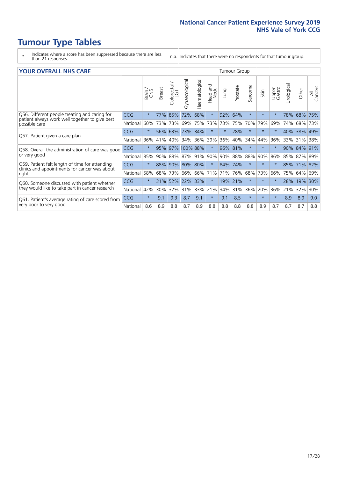- \* Indicates where a score has been suppressed because there are less than 21 responses.
- n.a. Indicates that there were no respondents for that tumour group.

#### **YOUR OVERALL NHS CARE** THE TWO CONTROLLER THE THE THROUP CHANGE THE TUMOUR GROUP

|                                                                             |            | Brain   | <b>Breast</b> | Colorectal | Gynaecological | Haematological | aad and<br>Neck<br>Head | Lung    | Prostate | Sarcoma | Skin    | Upper<br>Gastro | Urological | Other   | All<br>Cancers |  |  |  |  |  |  |
|-----------------------------------------------------------------------------|------------|---------|---------------|------------|----------------|----------------|-------------------------|---------|----------|---------|---------|-----------------|------------|---------|----------------|--|--|--|--|--|--|
| Q56. Different people treating and caring for                               | <b>CCG</b> | $\star$ | 77%           | 85%        | 72%            | 68%            | $\star$                 | 92%     | 64%      | $\star$ | $\star$ |                 | 78%        | 68%     | 75%            |  |  |  |  |  |  |
| patient always work well together to give best<br>possible care             | National   | 60%     |               | 73% 73%    | 69%            | 75%            | 73%                     | 73%     | 75%      | 70%     | 79%     | 69%             | 74%        | 68%     | 73%            |  |  |  |  |  |  |
| Q57. Patient given a care plan                                              | <b>CCG</b> | $\star$ | 56%           | 63%        | 73% 34%        |                | $\star$                 | $\star$ | 28%      | $\star$ | $\star$ | $\star$         | 40%        | 38% 49% |                |  |  |  |  |  |  |
|                                                                             | National   | 36%     | 41%           | 40%        | 34%            | 36%            | 39%                     | 36%     | 40%      | 34%     | 44%     | 36%             | 33%        | 31%     | 38%            |  |  |  |  |  |  |
| Q58. Overall the administration of care was good                            | <b>CCG</b> | $\star$ | 95%           |            | 97% 100% 88%   |                | $\star$                 | 96% 81% |          | $\star$ | $\star$ |                 | 90%        | 84%     | 91%            |  |  |  |  |  |  |
| or very good                                                                | National   | 85%     | $90\%$        | 88%        | 87% 91%        |                | 90%                     | $90\%$  | 88%      | 88%     | 90%     | 86%             | 85%        | 87% 89% |                |  |  |  |  |  |  |
| Q59. Patient felt length of time for attending                              | <b>CCG</b> | $\star$ | 88%           |            | 90% 80% 80%    |                | $\star$                 | 84% 74% |          | $\star$ | $\star$ | $\star$         | 85%        | 71% 82% |                |  |  |  |  |  |  |
| clinics and appointments for cancer was about<br>right                      | National   | 58%     | 68%           | 73%        | 66%            | 66%            | 71%                     | 71%     | 76%      | 68%     | 73%     | 66%             | 75%        | 64%     | 69%            |  |  |  |  |  |  |
| Q60. Someone discussed with patient whether                                 | <b>CCG</b> | $\star$ | 31%           | 52%        | 22%            | 33%            | $\star$                 | 19%     | 21%      | $\star$ | $\star$ |                 | 28%        | 19%     | 30%            |  |  |  |  |  |  |
| they would like to take part in cancer research                             | National   | 42%     | 30%           | 32%        | 31%            | 33%            | 21%                     | 34%     | 31%      | 36%     | 20%     | 36%             | 21%        | 32%     | 30%            |  |  |  |  |  |  |
| Q61. Patient's average rating of care scored from<br>very poor to very good | <b>CCG</b> | $\star$ | 9.1           | 9.3        | 8.7            | 9.1            | $\star$                 | 9.1     | 8.5      | $\star$ | $\star$ | $\star$         | 8.9        | 8.9     | 9.0            |  |  |  |  |  |  |
|                                                                             | National   | 8.6     | 8.9           | 8.8        | 8.7            | 8.9            | 8.8                     | 8.8     | 8.8      | 8.8     | 8.9     | 8.7             | 8.7        | 8.7     | 8.8            |  |  |  |  |  |  |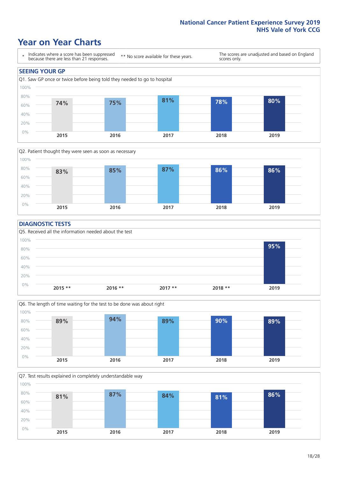### **Year on Year Charts**





#### **DIAGNOSTIC TESTS**





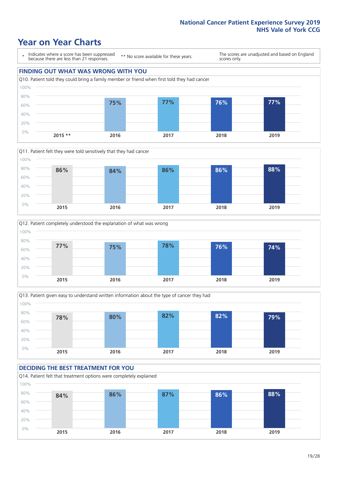### **Year on Year Charts**

\* Indicates where a score has been suppressed because there are less than 21 responses.

\*\* No score available for these years.

The scores are unadjusted and based on England scores only.

#### **FINDING OUT WHAT WAS WRONG WITH YOU** Q10. Patient told they could bring a family member or friend when first told they had cancer 0% 20% 40% 60% 80% 100% **2015 \*\* 2016 2017 2018 2019 75% 77% 76% 77%**







#### **DECIDING THE BEST TREATMENT FOR YOU** Q14. Patient felt that treatment options were completely explained 0% 20% 40% 60% 80% 100% **2015 2016 2017 2018 2019 84% 86% 87% 86% 88%**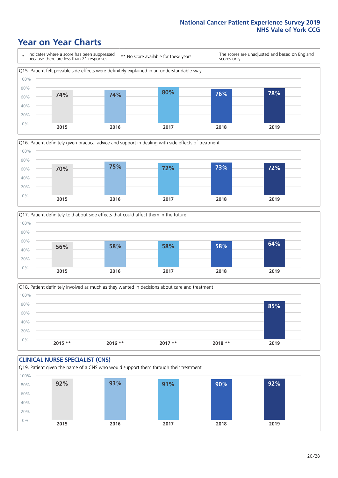## **Year on Year Charts**







Q18. Patient definitely involved as much as they wanted in decisions about care and treatment  $0%$ 20% 40% 60% 80% 100% **2015 \*\* 2016 \*\* 2017 \*\* 2018 \*\* 2019 85%**

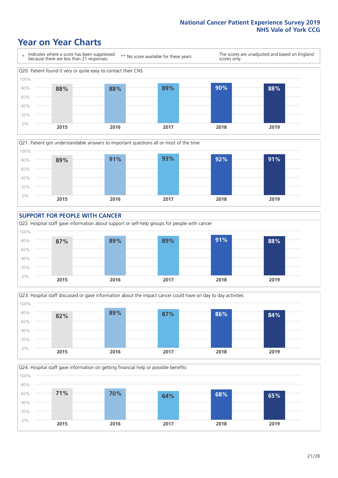### **Year on Year Charts**









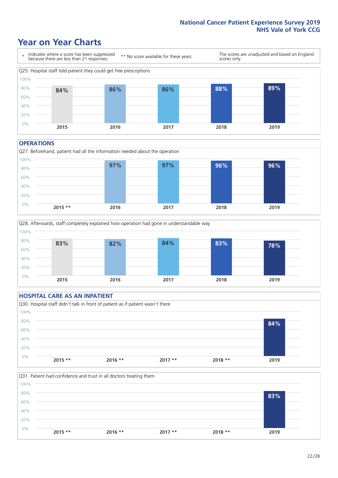### **Year on Year Charts**



#### **OPERATIONS**

Q27. Beforehand, patient had all the information needed about the operation 0% 20% 40% 60% 80% 100% **2015 \*\* 2016 2017 2018 2019 97% 97% 96% 96%**



#### **HOSPITAL CARE AS AN INPATIENT** Q30. Hospital staff didn't talk in front of patient as if patient wasn't there 0% 20% 40% 60% 80% 100% **2015 \*\* 2016 \*\* 2017 \*\* 2018 \*\* 2019 84%**

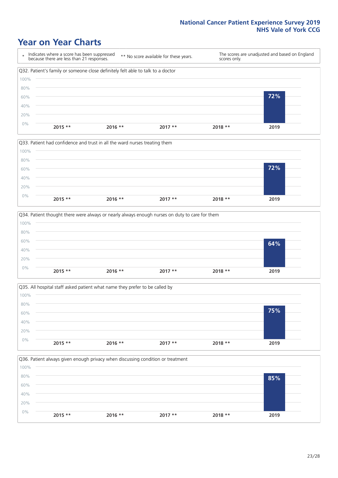### **Year on Year Charts**









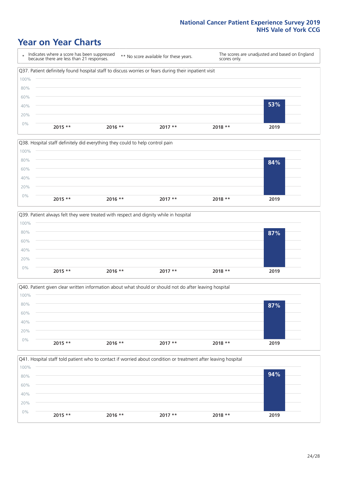### **Year on Year Charts**









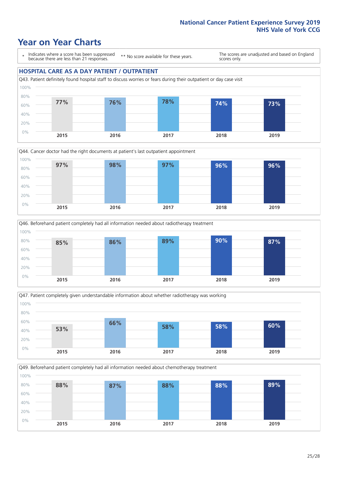### **Year on Year Charts**

\* Indicates where a score has been suppressed because there are less than 21 responses.

\*\* No score available for these years.

The scores are unadjusted and based on England scores only.

#### **HOSPITAL CARE AS A DAY PATIENT / OUTPATIENT**









Q49. Beforehand patient completely had all information needed about chemotherapy treatment 0% 20% 40% 60% 80% 100% **2015 2016 2017 2018 2019 88% 87% 88% 88% 89%**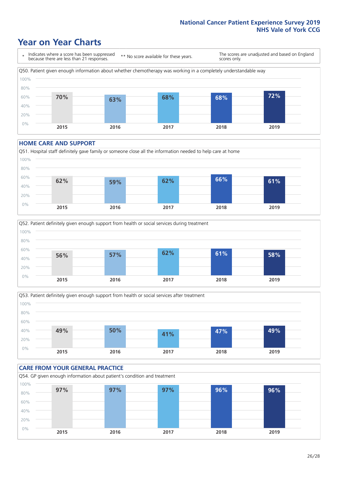### **Year on Year Charts**

\* Indicates where a score has been suppressed because there are less than 21 responses. \*\* No score available for these years. The scores are unadjusted and based on England scores only. Q50. Patient given enough information about whether chemotherapy was working in a completely understandable way 0% 20% 40% 60% 80% 100% **2015 2016 2017 2018 2019 70% 63% 68% 68% 72%**

#### **HOME CARE AND SUPPORT**







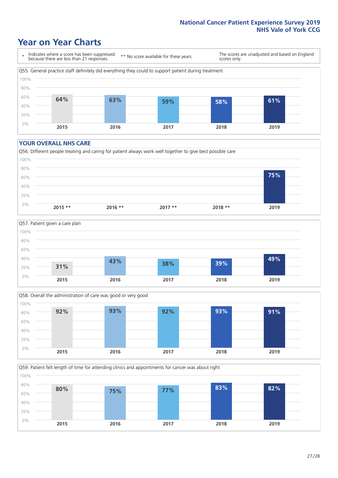### **Year on Year Charts**

\* Indicates where a score has been suppressed because there are less than 21 responses.

\*\* No score available for these years.

The scores are unadjusted and based on England scores only.



#### **YOUR OVERALL NHS CARE**







Q59. Patient felt length of time for attending clinics and appointments for cancer was about right 0% 20% 40% 60% 80% 100% **2015 2016 2017 2018 2019 80% 75% 77% 83% 82%**